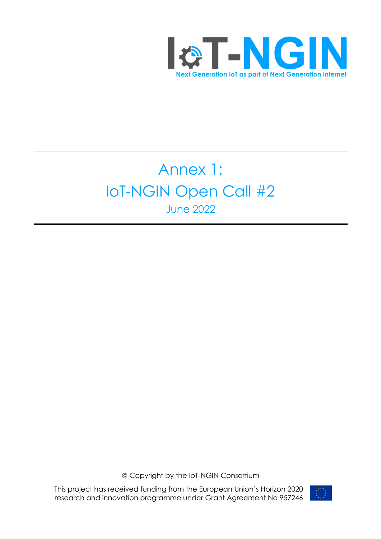

# Annex 1: IoT-NGIN Open Call #2 June 2022

ã Copyright by the IoT-NGIN Consortium

This project has received funding from the European Union's Horizon 2020 research and innovation programme under Grant Agreement No 957246

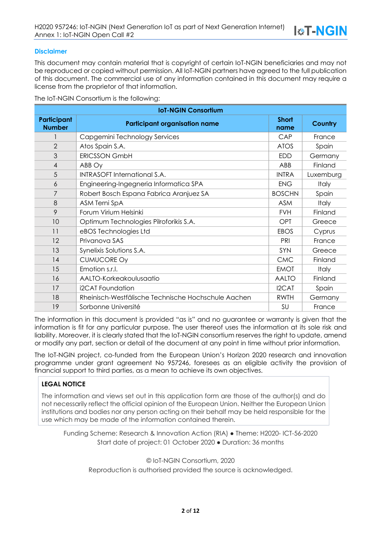#### **Disclaimer**

This document may contain material that is copyright of certain IoT-NGIN beneficiaries and may not be reproduced or copied without permission. All IoT-NGIN partners have agreed to the full publication of this document. The commercial use of any information contained in this document may require a license from the proprietor of that information.

The IoT-NGIN Consortium is the following:

| <b>IoT-NGIN Consortium</b>          |                                                     |                      |              |  |
|-------------------------------------|-----------------------------------------------------|----------------------|--------------|--|
| <b>Participant</b><br><b>Number</b> | <b>Participant organisation name</b>                | <b>Short</b><br>name | Country      |  |
|                                     | Capgemini Technology Services                       | CAP                  | France       |  |
| $\overline{2}$                      | Atos Spain S.A.                                     | <b>ATOS</b>          | Spain        |  |
| 3                                   | <b>ERICSSON GmbH</b>                                | <b>EDD</b>           | Germany      |  |
| $\overline{4}$                      | ABB Oy                                              | ABB                  | Finland      |  |
| 5                                   | <b>INTRASOFT International S.A.</b>                 | <b>INTRA</b>         | Luxemburg    |  |
| 6                                   | Engineering-Ingegneria Informatica SPA              | <b>ENG</b>           | <b>Italy</b> |  |
| 7                                   | Robert Bosch Espana Fabrica Aranjuez SA             | <b>BOSCHN</b>        | Spain        |  |
| 8                                   | ASM Terni SpA                                       | <b>ASM</b>           | <b>Italy</b> |  |
| 9                                   | Forum Virium Helsinki                               | <b>FVH</b>           | Finland      |  |
| 10                                  | Optimum Technologies Pilroforikis S.A.              | OPT                  | Greece       |  |
| 11                                  | eBOS Technologies Ltd                               | <b>EBOS</b>          | Cyprus       |  |
| 12                                  | Privanova SAS                                       | PRI                  | France       |  |
| 13                                  | Synelixis Solutions S.A.                            | SYN                  | Greece       |  |
| 14                                  | <b>CUMUCORE Oy</b>                                  | <b>CMC</b>           | Finland      |  |
| 15                                  | Emotion s.r.l.                                      | <b>EMOT</b>          | <b>Italy</b> |  |
| 16                                  | AALTO-Korkeakoulusaatio                             | <b>AALTO</b>         | Finland      |  |
| 17                                  | i2CAT Foundation                                    | I2CAT                | Spain        |  |
| 18                                  | Rheinisch-Westfälische Technische Hochschule Aachen | <b>RWTH</b>          | Germany      |  |
| 19                                  | Sorbonne Université                                 | SU                   | France       |  |

The information in this document is provided "as is" and no guarantee or warranty is given that the information is fit for any particular purpose. The user thereof uses the information at its sole risk and liability. Moreover, it is clearly stated that the IoT-NGIN consortium reserves the right to update, amend or modify any part, section or detail of the document at any point in time without prior information.

The IoT-NGIN project, co-funded from the European Union's Horizon 2020 research and innovation programme under grant agreement No 957246, foresees as an eligible activity the provision of financial support to third parties, as a mean to achieve its own objectives.

#### **LEGAL NOTICE**

The information and views set out in this application form are those of the author(s) and do not necessarily reflect the official opinion of the European Union. Neither the European Union institutions and bodies nor any person acting on their behalf may be held responsible for the use which may be made of the information contained therein.

Funding Scheme: Research & Innovation Action (RIA) ● Theme: H2020- ICT-56-2020 Start date of project: 01 October 2020 ● Duration: 36 months

© IoT-NGIN Consortium, 2020 Reproduction is authorised provided the source is acknowledged.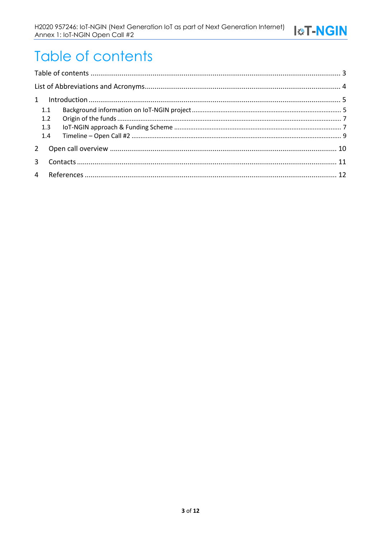# Table of contents

| 1.1 |  |  |
|-----|--|--|
| 1.2 |  |  |
| 1.3 |  |  |
| 1.4 |  |  |
|     |  |  |
|     |  |  |
|     |  |  |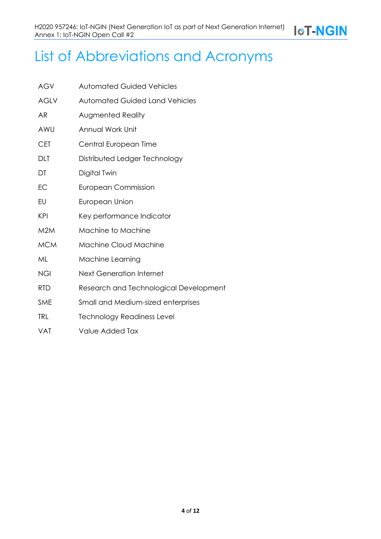## List of Abbreviations and Acronyms

| <b>AGV</b>  | <b>Automated Guided Vehicles</b>       |
|-------------|----------------------------------------|
| <b>AGLV</b> | <b>Automated Guided Land Vehicles</b>  |
| AR          | <b>Augmented Reality</b>               |
| AWU         | Annual Work Unit                       |
| <b>CET</b>  | Central European Time                  |
| dlt         | Distributed Ledger Technology          |
| DT          | Digital Twin                           |
| EC          | European Commission                    |
| EU          | European Union                         |
| KPI         | Key performance Indicator              |
| M2M         | Machine to Machine                     |
| <b>MCM</b>  | <b>Machine Cloud Machine</b>           |
| ML          | Machine Learning                       |
| <b>NGI</b>  | <b>Next Generation Internet</b>        |
| <b>RTD</b>  | Research and Technological Development |
| <b>SME</b>  | Small and Medium-sized enterprises     |
| <b>TRL</b>  | <b>Technology Readiness Level</b>      |
| VAT         | Value Added Tax                        |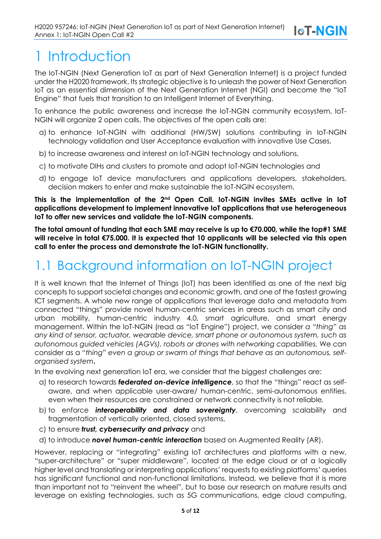## 1 Introduction

The IoT-NGIN (Next Generation IoT as part of Next Generation Internet) is a project funded under the H2020 framework. Its strategic objective is to unleash the power of Next Generation IoT as an essential dimension of the Next Generation Internet (NGI) and become the "IoT Engine" that fuels that transition to an Intelligent Internet of Everything.

**I&T-NGIN** 

To enhance the public awareness and increase the IoT-NGIN community ecosystem, IoT-NGIN will organize 2 open calls. The objectives of the open calls are:

- a) to enhance IoT-NGIN with additional (HW/SW) solutions contributing in IoT-NGIN technology validation and User Acceptance evaluation with innovative Use Cases,
- b) to increase awareness and interest on IoT-NGIN technology and solutions,
- c) to motivate DIHs and clusters to promote and adopt IoT-NGIN technologies and
- d) to engage IoT device manufacturers and applications developers, stakeholders, decision makers to enter and make sustainable the IoT-NGIN ecosystem.

**This is the implementation of the 2nd Open Call. IoT-NGIN invites SMEs active in IoT applications development to implement innovative IoT applications that use heterogeneous IoT to offer new services and validate the IoT-NGIN components.**

**The total amount of funding that each SME may receive is up to €70.000, while the top#1 SME will receive in total €75.000. It is expected that 10 applicants will be selected via this open call to enter the process and demonstrate the IoT-NGIN functionality.**

## 1.1 Background information on IoT-NGIN project

It is well known that the Internet of Things (IoT) has been identified as one of the next big concepts to support societal changes and economic growth, and one of the fastest growing ICT segments. A whole new range of applications that leverage data and metadata from connected "things" provide novel human-centric services in areas such as smart city and urban mobility, human-centric industry 4.0, smart agriculture, and smart energy management. Within the IoT-NGIN (read as "IoT Engine") project, we consider *a "thing" as any kind of sensor, actuator, wearable device, smart phone or autonomous system, such as autonomous guided vehicles (AGVs), robots or drones with networking capabilities.* We can consider as a "*thing" even a group or swarm of things that behave as an autonomous, selforganised system***.**

In the evolving next generation IoT era, we consider that the biggest challenges are:

- a) to research towards *federated on-device intelligence*, so that the "things" react as selfaware, and when applicable user-aware/ human-centric, semi-autonomous entities, even when their resources are constrained or network connectivity is not reliable*,*
- b) to enforce *interoperability and data sovereignty*, overcoming scalability and fragmentation of vertically oriented, closed systems,
- c) to ensure *trust, cybersecurity and privacy* and
- d) to introduce *novel human-centric interaction* based on Augmented Reality (AR).

However, replacing or "integrating" existing IoT architectures and platforms with a new, "super-architecture" or "super middleware", located at the edge cloud or at a logically higher level and translating or interpreting applications' requests to existing platforms' queries has significant functional and non-functional limitations. Instead, we believe that it is more than important not to "reinvent the wheel", but to base our research on mature results and leverage on existing technologies, such as 5G communications, edge cloud computing,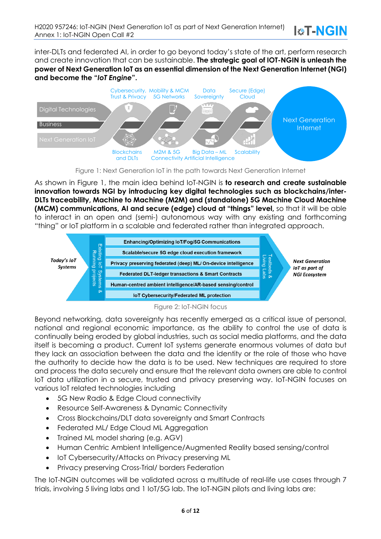inter-DLTs and federated AI, in order to go beyond today's state of the art, perform research and create innovation that can be sustainable. **The strategic goal of IOT-NGIN is unleash the power of Next Generation IoT as an essential dimension of the Next Generation Internet (NGI) and become the "***IoT Engine***".**

**I&T-NGIN** 



Figure 1: Next Generation IoT in the path towards Next Generation Internet

As shown in Figure 1, the main idea behind IoT-NGIN is **to research and create sustainable innovation towards NGI by introducing key digital technologies such as blockchains/inter-DLTs traceability, Machine to Machine (M2M) and (standalone) 5G Machine Cloud Machine (MCM) communications, AI and secure (edge) cloud at "things" level,** so that it will be able to interact in an open and (semi-) autonomous way with any existing and forthcoming "thing" or IoT platform in a scalable and federated rather than integrated approach.



#### Figure 2: IoT-NGIN focus

Beyond networking, data sovereignty has recently emerged as a critical issue of personal, national and regional economic importance, as the ability to control the use of data is continually being eroded by global industries, such as social media platforms, and the data itself is becoming a product. Current IoT systems generate enormous volumes of data but they lack an association between the data and the identity or the role of those who have the authority to decide how the data is to be used. New techniques are required to store and process the data securely and ensure that the relevant data owners are able to control IoT data utilization in a secure, trusted and privacy preserving way. IoT-NGIN focuses on various IoT related technologies including

- 5G New Radio & Edge Cloud connectivity
- Resource Self-Awareness & Dynamic Connectivity
- Cross Blockchains/DLT data sovereignty and Smart Contracts
- Federated ML/ Edge Cloud ML Aggregation
- Trained ML model sharing (e.g. AGV)
- Human Centric Ambient Intelligence/Augmented Reality based sensing/control
- IoT Cybersecurity/Attacks on Privacy preserving ML
- Privacy preserving Cross-Trial/ borders Federation

The IoT-NGIN outcomes will be validated across a multitude of real-life use cases through 7 trials, involving 5 living labs and 1 IoT/5G lab. The IoT-NGIN pilots and living labs are: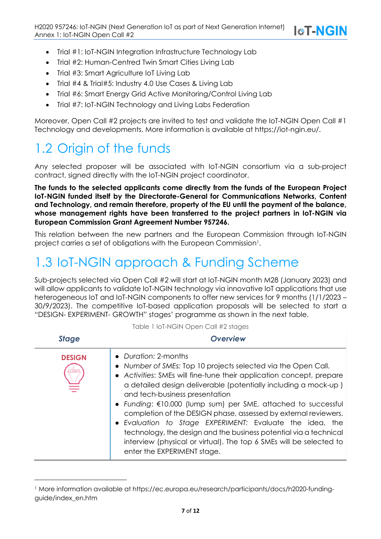- Trial #1: IoT-NGIN Integration Infrastructure Technology Lab
- Trial #2: Human-Centred Twin Smart Cities Living Lab
- Trial #3: Smart Agriculture IoT Living Lab
- Trial #4 & Trial#5: Industry 4.0 Use Cases & Living Lab
- Trial #6: Smart Energy Grid Active Monitoring/Control Living Lab
- Trial #7: IoT-NGIN Technology and Living Labs Federation

Moreover, Open Call #2 projects are invited to test and validate the IoT-NGIN Open Call #1 Technology and developments. More information is available at https://iot-ngin.eu/.

### 1.2 Origin of the funds

Any selected proposer will be associated with IoT-NGIN consortium via a sub-project contract, signed directly with the IoT-NGIN project coordinator.

**The funds to the selected applicants come directly from the funds of the European Project IoT-NGIN funded itself by the Directorate-General for Communications Networks, Content and Technology, and remain therefore, property of the EU until the payment of the balance, whose management rights have been transferred to the project partners in IoT-NGIN via European Commission Grant Agreement Number 957246.**

This relation between the new partners and the European Commission through IoT-NGIN project carries a set of obligations with the European Commission<sup>1</sup>.

### 1.3 IoT-NGIN approach & Funding Scheme

Sub-projects selected via Open Call #2 will start at IoT-NGIN month M28 (January 2023) and will allow applicants to validate IoT-NGIN technology via innovative IoT applications that use heterogeneous IoT and IoT-NGIN components to offer new services for 9 months (1/1/2023 – 30/9/2023). The competitive IoT-based application proposals will be selected to start a "DESIGN- EXPERIMENT- GROWTH" stages' programme as shown in the next table.

| <b>Stage</b>  | <b>Overview</b>                                                                                                                                                                                                                                                                                                                                                                                                                                                                                                                                                                                                                               |  |
|---------------|-----------------------------------------------------------------------------------------------------------------------------------------------------------------------------------------------------------------------------------------------------------------------------------------------------------------------------------------------------------------------------------------------------------------------------------------------------------------------------------------------------------------------------------------------------------------------------------------------------------------------------------------------|--|
| <b>DESIGN</b> | • Duration: 2-months<br>• Number of SMEs: Top 10 projects selected via the Open Call.<br>• Activities: SMEs will fine-tune their application concept, prepare<br>a detailed design deliverable (potentially including a mock-up)<br>and tech-business presentation<br>• Funding: €10.000 (lump sum) per SME, attached to successful<br>completion of the DESIGN phase, assessed by external reviewers.<br>• Evaluation to Stage EXPERIMENT: Evaluate the idea, the<br>technology, the design and the business potential via a technical<br>interview (physical or virtual). The top 6 SMEs will be selected to<br>enter the EXPERIMENT stage. |  |

Table 1 IoT-NGIN Open Call #2 stages

<sup>1</sup> More information available at https://ec.europa.eu/research/participants/docs/h2020-fundingguide/index\_en.htm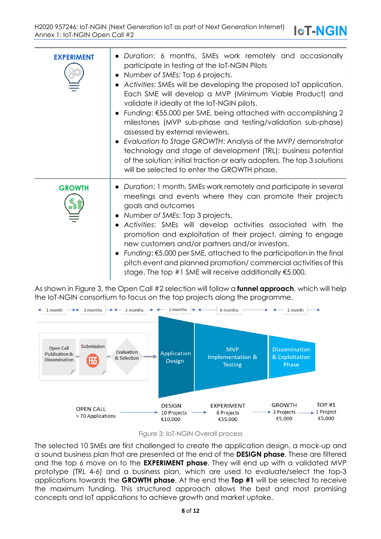| <b>EXPERIMENT</b> | • Duration: 6 months, SMEs work remotely and occasionally<br>participate in testing at the IoT-NGIN Pilots<br>• Number of SMEs: Top 6 projects.<br>• Activities: SMEs will be developing the proposed IoT application.<br>Each SME will develop a MVP (Minimum Viable Product) and<br>validate it ideally at the IoT-NGIN pilots.<br>Funding: €55.000 per SME, being attached with accomplishing 2<br>milestones (MVP sub-phase and testing/validation sub-phase)<br>assessed by external reviewers.<br>Evaluation to Stage GROWTH: Analysis of the MVP/ demonstrator<br>technology and stage of development (TRL); business potential<br>of the solution; initial traction or early adopters. The top 3 solutions<br>will be selected to enter the GROWTH phase. |
|-------------------|-------------------------------------------------------------------------------------------------------------------------------------------------------------------------------------------------------------------------------------------------------------------------------------------------------------------------------------------------------------------------------------------------------------------------------------------------------------------------------------------------------------------------------------------------------------------------------------------------------------------------------------------------------------------------------------------------------------------------------------------------------------------|
| <b>GROWTH</b>     | • Duration: 1 month, SMEs work remotely and participate in several<br>meetings and events where they can promote their projects<br>goals and outcomes<br>• Number of SMEs: Top 3 projects.<br>• Activities: SMEs will develop activities associated with the<br>promotion and exploitation of their project, aiming to engage<br>new customers and/or partners and/or investors.<br>Funding: €5.000 per SME, attached to the participation in the final<br>pitch event and planned promotion/commercial activities of this<br>stage. The top #1 SME will receive additionally $$5.000$ .                                                                                                                                                                          |

As shown in Figure 3, the Open Call #2 selection will follow a **funnel approach**, which will help the IoT-NGIN consortium to focus on the top projects along the programme.



The selected 10 SMEs are first challenged to create the application design, a mock-up and a sound business plan that are presented at the end of the **DESIGN phase**. These are filtered and the top 6 move on to the **EXPERIMENT phase**. They will end up with a validated MVP prototype (TRL 4-6) and a business plan, which are used to evaluate/select the top-3 applications towards the **GROWTH phase**. At the end the **Top #1** will be selected to receive the maximum funding. This structured approach allows the best and most promising concepts and IoT applications to achieve growth and market uptake.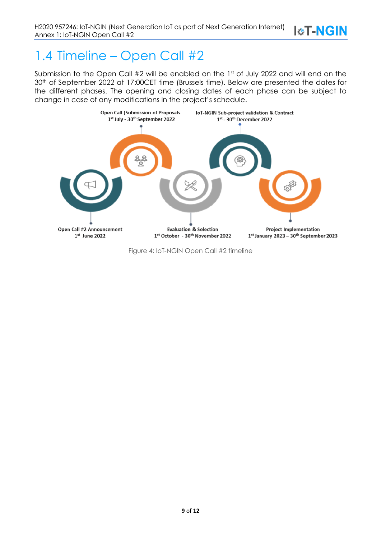### 1.4 Timeline – Open Call #2

Submission to the Open Call #2 will be enabled on the 1st of July 2022 and will end on the 30<sup>th</sup> of September 2022 at 17:00CET time (Brussels time). Below are presented the dates for the different phases. The opening and closing dates of each phase can be subject to change in case of any modifications in the project's schedule.

**I&T-NGIN** 



Figure 4: IoT-NGIN Open Call #2 timeline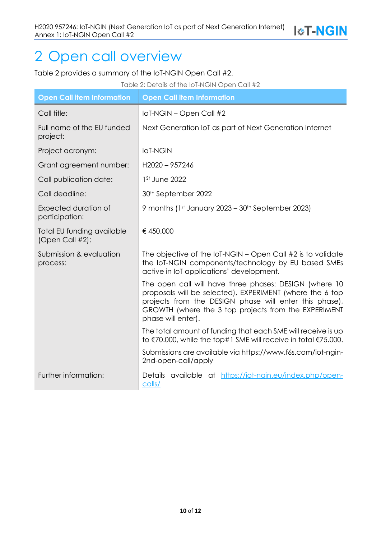## 2 Open call overview

Table 2 provides a summary of the IoT-NGIN Open Call #2.

| Table 2: Details of the IoT-NGIN Open Call #2 |                                                                                                                                                                                                                                                            |  |  |  |
|-----------------------------------------------|------------------------------------------------------------------------------------------------------------------------------------------------------------------------------------------------------------------------------------------------------------|--|--|--|
| <b>Open Call item Information</b>             | <b>Open Call item Information</b>                                                                                                                                                                                                                          |  |  |  |
| Call title:                                   | IoT-NGIN - Open Call #2                                                                                                                                                                                                                                    |  |  |  |
| Full name of the EU funded<br>project:        | Next Generation IoT as part of Next Generation Internet                                                                                                                                                                                                    |  |  |  |
| Project acronym:                              | <b>IoT-NGIN</b>                                                                                                                                                                                                                                            |  |  |  |
| Grant agreement number:                       | H2020-957246                                                                                                                                                                                                                                               |  |  |  |
| Call publication date:                        | 1 <sup>St</sup> June 2022                                                                                                                                                                                                                                  |  |  |  |
| Call deadline:                                | 30 <sup>th</sup> September 2022                                                                                                                                                                                                                            |  |  |  |
| Expected duration of<br>participation:        | 9 months (1st January 2023 – 30th September 2023)                                                                                                                                                                                                          |  |  |  |
| Total EU funding available<br>(Open Call #2): | €450.000                                                                                                                                                                                                                                                   |  |  |  |
| Submission & evaluation<br>process:           | The objective of the $IoT\text{-}NGIN - Open Call #2$ is to validate<br>the IoT-NGIN components/technology by EU based SMEs<br>active in IoT applications' development.                                                                                    |  |  |  |
|                                               | The open call will have three phases: DESIGN (where 10<br>proposals will be selected), EXPERIMENT (where the 6 top<br>projects from the DESIGN phase will enter this phase),<br>GROWTH (where the 3 top projects from the EXPERIMENT<br>phase will enter). |  |  |  |
|                                               | The total amount of funding that each SME will receive is up<br>to €70.000, while the top#1 SME will receive in total €75.000.                                                                                                                             |  |  |  |
|                                               | Submissions are available via https://www.f6s.com/iot-ngin-<br>2nd-open-call/apply                                                                                                                                                                         |  |  |  |
| Further information:                          | Details available at https://iot-ngin.eu/index.php/open-<br>calls/                                                                                                                                                                                         |  |  |  |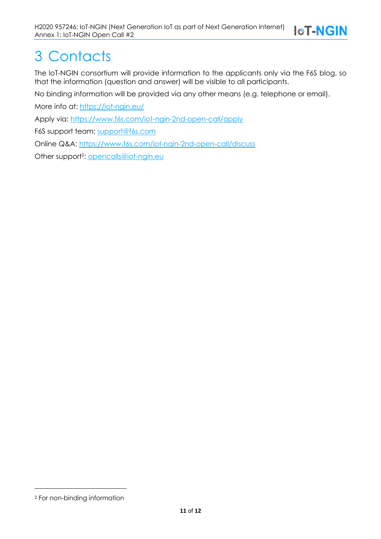# 3 Contacts

The IoT-NGIN consortium will provide information to the applicants only via the F6S blog, so that the information (question and answer) will be visible to all participants.

No binding information will be provided via any other means (e.g. telephone or email).

More info at: https://iot-ngin.eu/

Apply via: https://www.f6s.com/iot-ngin-2nd-open-call/apply

F6S support team: support@f6s.com

Online Q&A: https://www.f6s.com/iot-ngin-2nd-open-call/discuss

Other support<sup>2</sup>: opencalls@iot-ngin.eu

<sup>2</sup> For non-binding information